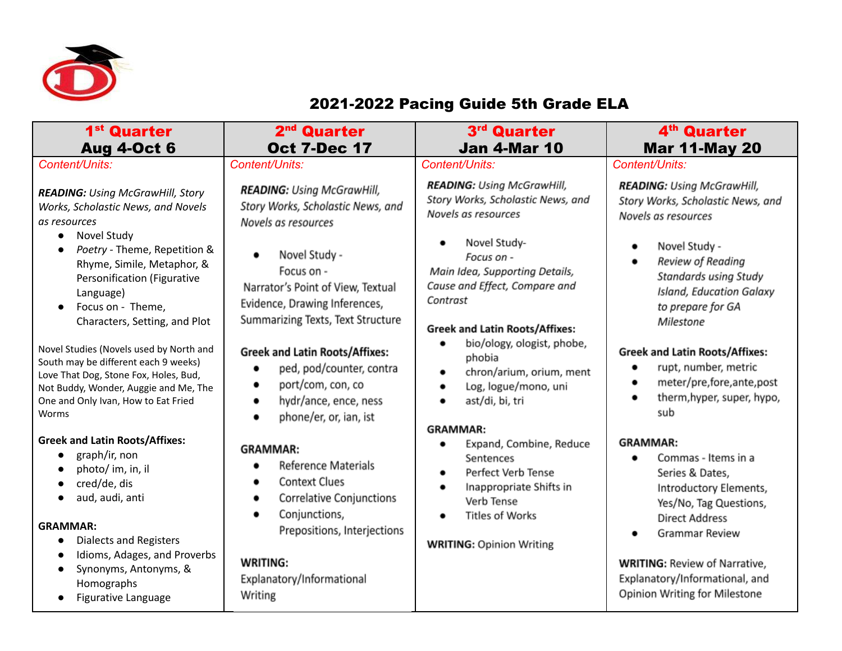

## 2021-2022 Pacing Guide 5th Grade ELA

| 1 <sup>st</sup> Quarter<br><b>Aug 4-Oct 6</b>                                                                                                                                                                     | 2 <sup>nd</sup> Quarter<br><b>Oct 7-Dec 17</b>                                                                                            | 3rd Quarter<br><b>Jan 4-Mar 10</b>                                                                                                 | 4 <sup>th</sup> Quarter<br><b>Mar 11-May 20</b>                                                                                        |
|-------------------------------------------------------------------------------------------------------------------------------------------------------------------------------------------------------------------|-------------------------------------------------------------------------------------------------------------------------------------------|------------------------------------------------------------------------------------------------------------------------------------|----------------------------------------------------------------------------------------------------------------------------------------|
| Content/Units:                                                                                                                                                                                                    | Content/Units:                                                                                                                            | Content/Units:                                                                                                                     | Content/Units:                                                                                                                         |
| <b>READING: Using McGrawHill, Story</b><br>Works, Scholastic News, and Novels<br>as resources<br>Novel Study<br>$\bullet$                                                                                         | <b>READING:</b> Using McGrawHill,<br>Story Works, Scholastic News, and<br>Novels as resources                                             | <b>READING:</b> Using McGrawHill,<br>Story Works, Scholastic News, and<br>Novels as resources<br>Novel Study-                      | <b>READING:</b> Using McGrawHill,<br>Story Works, Scholastic News, and<br>Novels as resources                                          |
| Poetry - Theme, Repetition &<br>Rhyme, Simile, Metaphor, &<br>Personification (Figurative<br>Language)<br>Focus on - Theme,<br>Characters, Setting, and Plot                                                      | Novel Study -<br>Focus on -<br>Narrator's Point of View, Textual<br>Evidence, Drawing Inferences,<br>Summarizing Texts, Text Structure    | Focus on -<br>Main Idea, Supporting Details,<br>Cause and Effect, Compare and<br>Contrast<br><b>Greek and Latin Roots/Affixes:</b> | Novel Study -<br>Review of Reading<br>Standards using Study<br>Island, Education Galaxy<br>to prepare for GA<br>Milestone              |
| Novel Studies (Novels used by North and<br>South may be different each 9 weeks)<br>Love That Dog, Stone Fox, Holes, Bud,<br>Not Buddy, Wonder, Auggie and Me, The<br>One and Only Ivan, How to Eat Fried<br>Worms | <b>Greek and Latin Roots/Affixes:</b><br>ped, pod/counter, contra<br>port/com, con, co<br>hydr/ance, ence, ness<br>phone/er, or, ian, ist | bio/ology, ologist, phobe,<br>phobia<br>chron/arium, orium, ment<br>Log, logue/mono, uni<br>ast/di, bi, tri<br><b>GRAMMAR:</b>     | <b>Greek and Latin Roots/Affixes:</b><br>rupt, number, metric<br>meter/pre,fore,ante,post<br>therm, hyper, super, hypo,<br>sub         |
| <b>Greek and Latin Roots/Affixes:</b><br>graph/ir, non<br>photo/ im, in, il<br>cred/de, dis<br>aud, audi, anti                                                                                                    | <b>GRAMMAR:</b><br><b>Reference Materials</b><br><b>Context Clues</b><br>Correlative Conjunctions<br>Conjunctions,                        | Expand, Combine, Reduce<br>Sentences<br>Perfect Verb Tense<br>٠<br>Inappropriate Shifts in<br>Verb Tense<br><b>Titles of Works</b> | <b>GRAMMAR:</b><br>Commas - Items in a<br>Series & Dates,<br>Introductory Elements,<br>Yes/No, Tag Questions,<br><b>Direct Address</b> |
| <b>GRAMMAR:</b><br><b>Dialects and Registers</b><br>$\bullet$<br>Idioms, Adages, and Proverbs<br>Synonyms, Antonyms, &<br>Homographs<br>Figurative Language                                                       | Prepositions, Interjections<br><b>WRITING:</b><br>Explanatory/Informational<br>Writing                                                    | <b>WRITING: Opinion Writing</b>                                                                                                    | Grammar Review<br><b>WRITING: Review of Narrative,</b><br>Explanatory/Informational, and<br>Opinion Writing for Milestone              |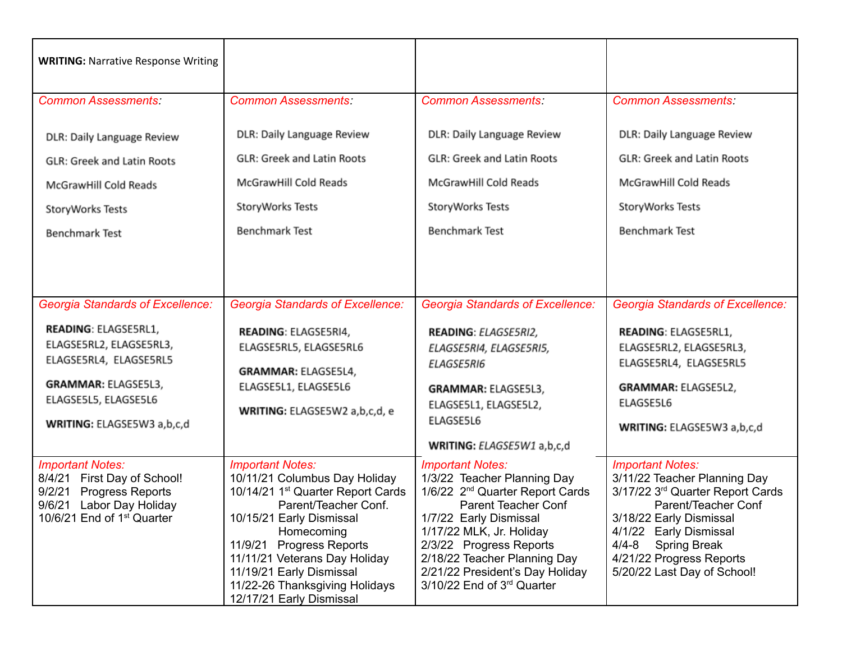| <b>WRITING: Narrative Response Writing</b>                                                                                                                                                        |                                                                                                                                                                                                                                                                                                                                    |                                                                                                                                                                                                                                                                                                                       |                                                                                                                                                                                                                                                                    |
|---------------------------------------------------------------------------------------------------------------------------------------------------------------------------------------------------|------------------------------------------------------------------------------------------------------------------------------------------------------------------------------------------------------------------------------------------------------------------------------------------------------------------------------------|-----------------------------------------------------------------------------------------------------------------------------------------------------------------------------------------------------------------------------------------------------------------------------------------------------------------------|--------------------------------------------------------------------------------------------------------------------------------------------------------------------------------------------------------------------------------------------------------------------|
| <b>Common Assessments:</b>                                                                                                                                                                        | <b>Common Assessments:</b>                                                                                                                                                                                                                                                                                                         | <b>Common Assessments:</b>                                                                                                                                                                                                                                                                                            | <b>Common Assessments:</b>                                                                                                                                                                                                                                         |
| DLR: Daily Language Review<br><b>GLR: Greek and Latin Roots</b><br>McGrawHill Cold Reads<br>StoryWorks Tests<br><b>Benchmark Test</b>                                                             | DLR: Daily Language Review<br><b>GLR: Greek and Latin Roots</b><br>McGrawHill Cold Reads<br>StoryWorks Tests<br><b>Benchmark Test</b>                                                                                                                                                                                              | DLR: Daily Language Review<br><b>GLR: Greek and Latin Roots</b><br>McGrawHill Cold Reads<br>StoryWorks Tests<br><b>Benchmark Test</b>                                                                                                                                                                                 | DLR: Daily Language Review<br><b>GLR: Greek and Latin Roots</b><br>McGrawHill Cold Reads<br>StoryWorks Tests<br><b>Benchmark Test</b>                                                                                                                              |
| <b>Georgia Standards of Excellence:</b><br>READING: ELAGSE5RL1,<br>ELAGSE5RL2, ELAGSE5RL3,<br>ELAGSE5RL4, ELAGSE5RL5<br>GRAMMAR: ELAGSE5L3,<br>ELAGSE5L5, ELAGSE5L6<br>WRITING: ELAGSE5W3 a,b,c,d | <b>Georgia Standards of Excellence:</b><br>READING: ELAGSE5RI4,<br>ELAGSE5RL5, ELAGSE5RL6<br>GRAMMAR: ELAGSE5L4,<br>ELAGSE5L1, ELAGSE5L6<br>WRITING: ELAGSE5W2 a,b,c,d, e                                                                                                                                                          | <b>Georgia Standards of Excellence:</b><br>READING: ELAGSE5RI2,<br>ELAGSE5RI4, ELAGSE5RI5,<br>ELAGSE5RI6<br>GRAMMAR: ELAGSE5L3,<br>ELAGSE5L1, ELAGSE5L2,<br>ELAGSE5L6<br>WRITING: ELAGSE5W1 a,b,c,d                                                                                                                   | <b>Georgia Standards of Excellence:</b><br>READING: ELAGSE5RL1,<br>ELAGSE5RL2, ELAGSE5RL3,<br>ELAGSE5RL4, ELAGSE5RL5<br>GRAMMAR: ELAGSE5L2,<br>ELAGSE5L6<br>WRITING: ELAGSE5W3 a,b,c,d                                                                             |
| <b>Important Notes:</b><br>First Day of School!<br>8/4/21<br><b>Progress Reports</b><br>9/2/21<br>9/6/21<br>Labor Day Holiday<br>10/6/21 End of $1st$ Quarter                                     | <b>Important Notes:</b><br>10/11/21 Columbus Day Holiday<br>10/14/21 1 <sup>st</sup> Quarter Report Cards<br>Parent/Teacher Conf.<br>10/15/21 Early Dismissal<br>Homecoming<br>11/9/21 Progress Reports<br>11/11/21 Veterans Day Holiday<br>11/19/21 Early Dismissal<br>11/22-26 Thanksgiving Holidays<br>12/17/21 Early Dismissal | <b>Important Notes:</b><br>1/3/22 Teacher Planning Day<br>1/6/22 2 <sup>nd</sup> Quarter Report Cards<br><b>Parent Teacher Conf</b><br>1/7/22 Early Dismissal<br>1/17/22 MLK, Jr. Holiday<br>2/3/22 Progress Reports<br>2/18/22 Teacher Planning Day<br>2/21/22 President's Day Holiday<br>3/10/22 End of 3rd Quarter | <b>Important Notes:</b><br>3/11/22 Teacher Planning Day<br>3/17/22 3rd Quarter Report Cards<br>Parent/Teacher Conf<br>3/18/22 Early Dismissal<br>4/1/22 Early Dismissal<br>4/4-8<br><b>Spring Break</b><br>4/21/22 Progress Reports<br>5/20/22 Last Day of School! |